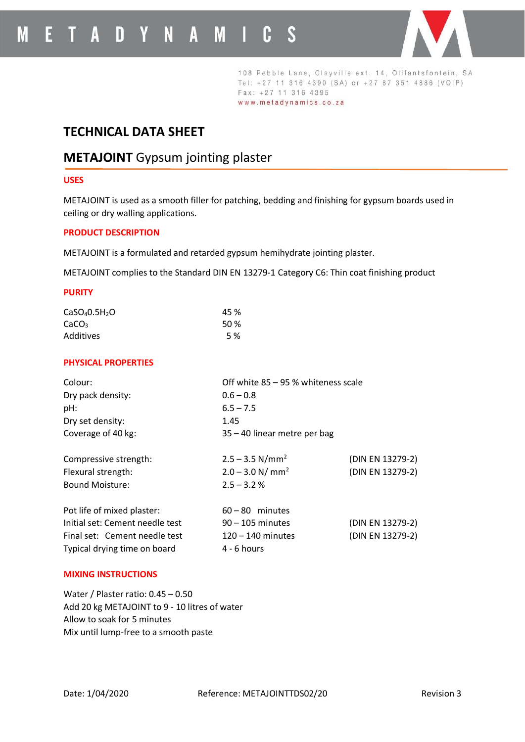

108 Pebble Lane, Clayville ext. 14, Olifantsfontein, SA Tel: +27 11 316 4390 (SA) or +27 87 351 4886 (VOIP) Fax: +27 11 316 4395 www.metadynamics.co.za

# **TECHNICAL DATA SHEET**

# **METAJOINT** Gypsum jointing plaster

## **USES**

METAJOINT is used as a smooth filler for patching, bedding and finishing for gypsum boards used in ceiling or dry walling applications.

### **PRODUCT DESCRIPTION**

METAJOINT is a formulated and retarded gypsum hemihydrate jointing plaster.

METAJOINT complies to the Standard DIN EN 13279-1 Category C6: Thin coat finishing product

#### **PURITY**

| CaSO <sub>4</sub> 0.5H <sub>2</sub> O | 45 %       |
|---------------------------------------|------------|
| CaCO <sub>3</sub>                     | 50%        |
| Additives                             | <b>5</b> % |

### **PHYSICAL PROPERTIES**

| Off white 85 - 95 % whiteness scale |                  |
|-------------------------------------|------------------|
| $0.6 - 0.8$                         |                  |
| $6.5 - 7.5$                         |                  |
| 1.45                                |                  |
| 35 - 40 linear metre per bag        |                  |
| $2.5 - 3.5$ N/mm <sup>2</sup>       | (DIN EN 13279-2) |
| $2.0 - 3.0$ N/ mm <sup>2</sup>      | (DIN EN 13279-2) |
| $2.5 - 3.2 %$                       |                  |
| $60 - 80$ minutes                   |                  |
| $90 - 105$ minutes                  | (DIN EN 13279-2) |
| $120 - 140$ minutes                 | (DIN EN 13279-2) |
| $4 - 6$ hours                       |                  |
|                                     |                  |

### **MIXING INSTRUCTIONS**

Water / Plaster ratio: 0.45 – 0.50 Add 20 kg METAJOINT to 9 - 10 litres of water Allow to soak for 5 minutes Mix until lump-free to a smooth paste